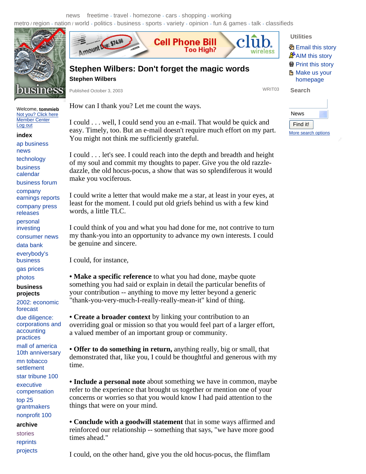news freetime - travel - homezone - cars - shopping - working

metro / region - nation / world - politics - business - sports - variety - opinion - fun & games - talk - classifieds



Welcome, **tommieb**  Not you? Click here Member Center Log out

**index** 

ap business news

technology

business

calendar

business forum

company earnings reports company press releases personal

investing

consumer news

data bank

everybody's

business

gas prices

photos

## **business projects**

2002: economic forecast due diligence: corporations and accounting practices

mall of america 10th anniversary

mn tobacco settlement

star tribune 100 executive compensation top 25 grantmakers nonprofit 100

**archive** 

stories reprints projects



**Cell Phone Bill** 

**Too High?** 

**Stephen Wilbers**

Published October 3, 2003 WRIT03

How can I thank you? Let me count the ways.

I could . . . well, I could send you an e-mail. That would be quick and easy. Timely, too. But an e-mail doesn't require much effort on my part. You might not think me sufficiently grateful.

I could . . . let's see. I could reach into the depth and breadth and height of my soul and commit my thoughts to paper. Give you the old razzledazzle, the old hocus-pocus, a show that was so splendiferous it would make you vociferous.

I could write a letter that would make me a star, at least in your eyes, at least for the moment. I could put old griefs behind us with a few kind words, a little TLC.

I could think of you and what you had done for me, not contrive to turn my thank-you into an opportunity to advance my own interests. I could be genuine and sincere.

I could, for instance,

**• Make a specific reference** to what you had done, maybe quote something you had said or explain in detail the particular benefits of your contribution -- anything to move my letter beyond a generic "thank-you-very-much-I-really-really-mean-it" kind of thing.

**• Create a broader context** by linking your contribution to an overriding goal or mission so that you would feel part of a larger effort, a valued member of an important group or community.

**• Offer to do something in return,** anything really, big or small, that demonstrated that, like you, I could be thoughtful and generous with my time.

**• Include a personal note** about something we have in common, maybe refer to the experience that brought us together or mention one of your concerns or worries so that you would know I had paid attention to the things that were on your mind.

**• Conclude with a goodwill statement** that in some ways affirmed and reinforced our relationship -- something that says, "we have more good times ahead."

I could, on the other hand, give you the old hocus-pocus, the flimflam

## **Utilities**

**Search** 

**图 Email this story A**AIM this story **骨 Print this story H** Make us your homepage

wireless

| News                |  |
|---------------------|--|
| Find it!            |  |
| More search options |  |